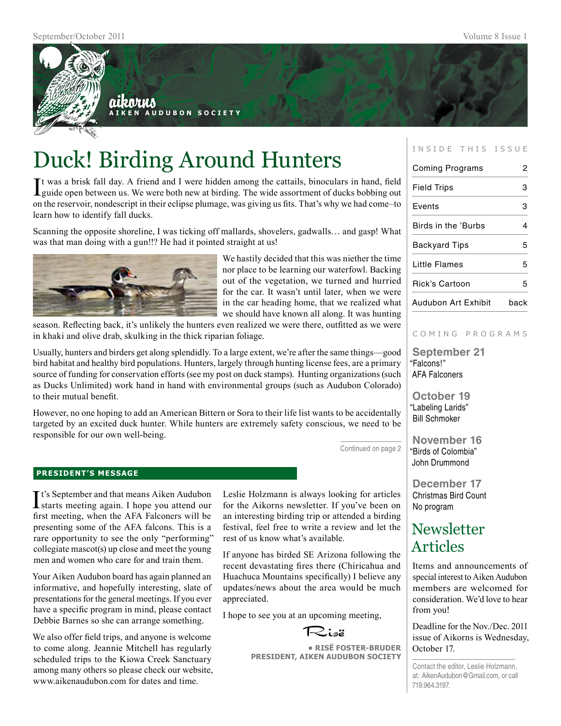

# Duck! Birding Around Hunters

It was a brisk fall day. A friend and I were hidden among the cattails, binoculars in hand, field guide open between us. We were both new at birding. The wide assortment of ducks bobbing out t was a brisk fall day. A friend and I were hidden among the cattails, binoculars in hand, field on the reservoir, nondescript in their eclipse plumage, was giving us fits. That's why we had come–to learn how to identify fall ducks.

Scanning the opposite shoreline, I was ticking off mallards, shovelers, gadwalls… and gasp! What was that man doing with a gun!!? He had it pointed straight at us!



We hastily decided that this was niether the time nor place to be learning our waterfowl. Backing out of the vegetation, we turned and hurried for the car. It wasn't until later, when we were in the car heading home, that we realized what we should have known all along. It was hunting

season. Reflecting back, it's unlikely the hunters even realized we were there, outfitted as we were in khaki and olive drab, skulking in the thick riparian foliage.

Usually, hunters and birders get along splendidly. To a large extent, we're after the same things—good bird habitat and healthy bird populations. Hunters, largely through hunting license fees, are a primary source of funding for conservation efforts (see my post on duck stamps). Hunting organizations (such as Ducks Unlimited) work hand in hand with environmental groups (such as Audubon Colorado) to their mutual benefit.

However, no one hoping to add an American Bittern or Sora to their life list wants to be accidentally targeted by an excited duck hunter. While hunters are extremely safety conscious, we need to be responsible for our own well-being.

Continued on page 2

## **president's message**

It's September and that means Aiken Audubon<br>starts meeting again. I hope you attend our **T** t's September and that means Aiken Audubon first meeting, when the AFA Falconers will be presenting some of the AFA falcons. This is a rare opportunity to see the only "performing" collegiate mascot(s) up close and meet the young men and women who care for and train them.

Your Aiken Audubon board has again planned an informative, and hopefully interesting, slate of presentations for the general meetings. If you ever have a specific program in mind, please contact Debbie Barnes so she can arrange something.

We also offer field trips, and anyone is welcome to come along. Jeannie Mitchell has regularly scheduled trips to the Kiowa Creek Sanctuary among many others so please check our website, www.aikenaudubon.com for dates and time.

Leslie Holzmann is always looking for articles for the Aikorns newsletter. If you've been on an interesting birding trip or attended a birding festival, feel free to write a review and let the rest of us know what's available.

If anyone has birded SE Arizona following the recent devastating fires there (Chiricahua and Huachuca Mountains specifically) I believe any updates/news about the area would be much appreciated.

I hope to see you at an upcoming meeting,



**• RisË Foster-Bruder President, Aiken Audubon Society**

### INSIDE THIS ISSUE

| <b>Coming Programs</b> | 2    |
|------------------------|------|
| <b>Field Trips</b>     | З    |
| Events                 | 3    |
| Birds in the 'Burbs    | 4    |
| <b>Backyard Tips</b>   | 5    |
| Little Flames          | 5    |
| Rick's Cartoon         | 5    |
| Audubon Art Exhibit    | back |

#### COMING PROGRAMS

**September 21** "Falcons!" AFA Falconers

**October 19** "Labeling Larids" Bill Schmoker

**November 16** "Birds of Colombia" John Drummond

**December 17** Christmas Bird Count No program

## **Newsletter** Articles

Items and announcements of special interest to Aiken Audubon members are welcomed for consideration. We'd love to hear from you!

Deadline for the Nov./Dec. 2011 issue of Aikorns is Wednesday, October 17.

Contact the editor, Leslie Holzmann, at: AikenAudubon@Gmail.com, or call 719.964.3197.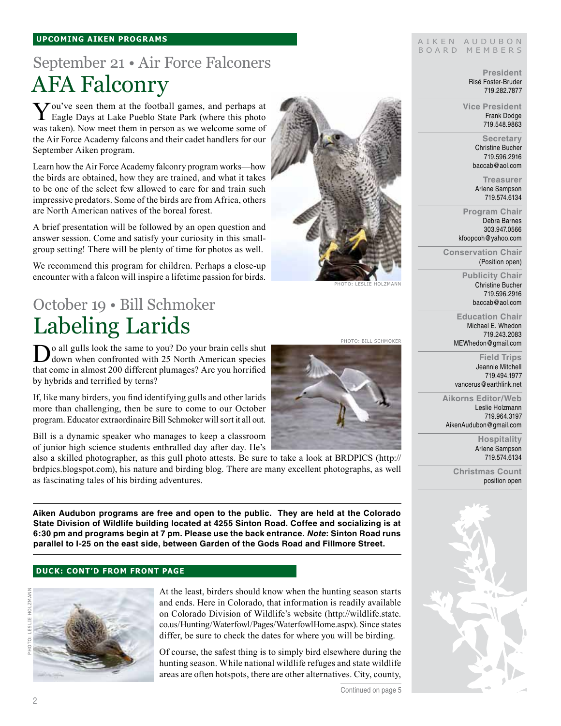### **upcoming aiken Programs**

# September 21 • Air Force Falconers AFA Falconry

You've seen them at the football games, and perhaps at Eagle Days at Lake Pueblo State Park (where this photo was taken). Now meet them in person as we welcome some of the Air Force Academy falcons and their cadet handlers for our September Aiken program.

Learn how the Air Force Academy falconry program works—how the birds are obtained, how they are trained, and what it takes to be one of the select few allowed to care for and train such impressive predators. Some of the birds are from Africa, others are North American natives of the boreal forest.

A brief presentation will be followed by an open question and answer session. Come and satisfy your curiosity in this smallgroup setting! There will be plenty of time for photos as well.

We recommend this program for children. Perhaps a close-up encounter with a falcon will inspire a lifetime passion for birds.

## October 19 • Bill Schmoker Labeling Larids

o all gulls look the same to you? Do your brain cells shut down when confronted with 25 North American species that come in almost 200 different plumages? Are you horrified by hybrids and terrified by terns?

If, like many birders, you find identifying gulls and other larids more than challenging, then be sure to come to our October program. Educator extraordinaire Bill Schmoker will sort it all out.

Bill is a dynamic speaker who manages to keep a classroom of junior high science students enthralled day after day. He's

also a skilled photographer, as this gull photo attests. Be sure to take a look at BRDPICS (http:// brdpics.blogspot.com), his nature and birding blog. There are many excellent photographs, as well as fascinating tales of his birding adventures.

**Aiken Audubon programs are free and open to the public. They are held at the Colorado State Division of Wildlife building located at 4255 Sinton Road. Coffee and socializing is at 6:30 pm and programs begin at 7 pm. Please use the back entrance.** *Note***: Sinton Road runs parallel to I-25 on the east side, between Garden of the Gods Road and Fillmore Street.**

#### **duck: cont'd from front page**



At the least, birders should know when the hunting season starts and ends. Here in Colorado, that information is readily available on Colorado Division of Wildlife's website (http://wildlife.state. co.us/Hunting/Waterfowl/Pages/WaterfowlHome.aspx). Since states differ, be sure to check the dates for where you will be birding.

Of course, the safest thing is to simply bird elsewhere during the hunting season. While national wildlife refuges and state wildlife areas are often hotspots, there are other alternatives. City, county,



Photo: leslie holzmann

#### AIKEN AUDUBON B O A R D M E M B E R S

**President** Risë Foster-Bruder 719.282.7877

**Vice President** Frank Dodge 719.548.9863

> **Secretary** Christine Bucher 719.596.2916 baccab@aol.com

**Treasurer** Arlene Sampson 719.574.6134

**Program Chair** Debra Barnes 303.947.0566 kfoopooh@yahoo.com

**Conservation Chair** (Position open)

> **Publicity Chair** Christine Bucher 719.596.2916 baccab@aol.com

**Education Chair** Michael E. Whedon 719.243.2083 MEWhedon@gmail.com

**Field Trips** Jeannie Mitchell 719.494.1977 vancerus@earthlink.net

**Aikorns Editor/Web** Leslie Holzmann 719.964.3197 AikenAudubon@gmail.com

> **Hospitality** Arlene Sampson 719.574.6134

**Christmas Count** position open



Photo: bill schmoker

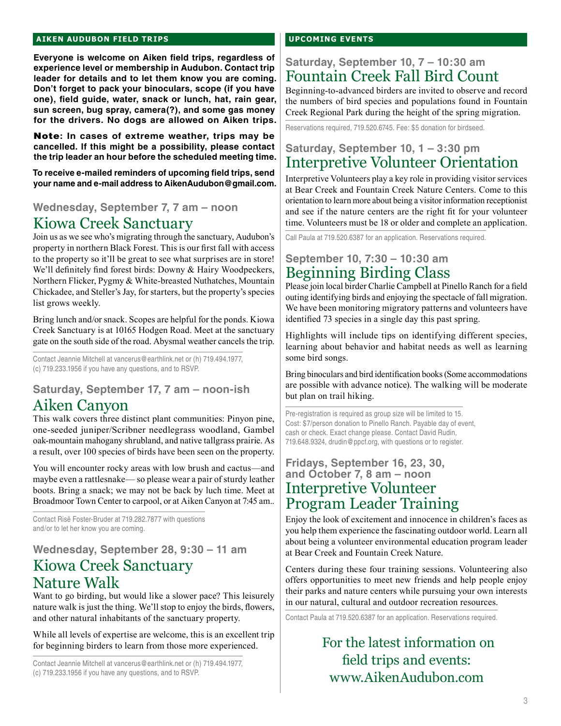### **aiken audubon FIELD TRIPS**

**Everyone is welcome on Aiken field trips, regardless of experience level or membership in Audubon. Contact trip leader for details and to let them know you are coming. Don't forget to pack your binoculars, scope (if you have one), field guide, water, snack or lunch, hat, rain gear, sun screen, bug spray, camera(?), and some gas money for the drivers. No dogs are allowed on Aiken trips.** 

Note**: In cases of extreme weather, trips may be cancelled. If this might be a possibility, please contact the trip leader an hour before the scheduled meeting time.**

**To receive e-mailed reminders of upcoming field trips, send your name and e-mail address to AikenAudubon@gmail.com.**

## **Wednesday, September 7, 7 am – noon** Kiowa Creek Sanctuary

Join us as we see who's migrating through the sanctuary, Audubon's property in northern Black Forest. This is our first fall with access to the property so it'll be great to see what surprises are in store! We'll definitely find forest birds: Downy & Hairy Woodpeckers, Northern Flicker, Pygmy & White-breasted Nuthatches, Mountain Chickadee, and Steller's Jay, for starters, but the property's species list grows weekly.

Bring lunch and/or snack. Scopes are helpful for the ponds. Kiowa Creek Sanctuary is at 10165 Hodgen Road. Meet at the sanctuary gate on the south side of the road. Abysmal weather cancels the trip.

Contact Jeannie Mitchell at vancerus@earthlink.net or (h) 719.494.1977, (c) 719.233.1956 if you have any questions, and to RSVP.

## **Saturday, September 17, 7 am – noon-ish** Aiken Canyon

This walk covers three distinct plant communities: Pinyon pine, one-seeded juniper/Scribner needlegrass woodland, Gambel oak-mountain mahogany shrubland, and native tallgrass prairie. As a result, over 100 species of birds have been seen on the property.

You will encounter rocky areas with low brush and cactus—and maybe even a rattlesnake— so please wear a pair of sturdy leather boots. Bring a snack; we may not be back by luch time. Meet at Broadmoor Town Center to carpool, or at Aiken Canyon at 7:45 am..

Contact Risë Foster-Bruder at 719.282.7877 with questions and/or to let her know you are coming.

## **Wednesday, September 28, 9:30 – 11 am** Kiowa Creek Sanctuary Nature Walk

Want to go birding, but would like a slower pace? This leisurely nature walk is just the thing. We'll stop to enjoy the birds, flowers, and other natural inhabitants of the sanctuary property.

While all levels of expertise are welcome, this is an excellent trip for beginning birders to learn from those more experienced.

Contact Jeannie Mitchell at vancerus@earthlink.net or (h) 719.494.1977, (c) 719.233.1956 if you have any questions, and to RSVP.

### **upcoming events**

## **Saturday, September 10, 7 – 10:30 am** Fountain Creek Fall Bird Count

Beginning-to-advanced birders are invited to observe and record the numbers of bird species and populations found in Fountain Creek Regional Park during the height of the spring migration.

Reservations required, 719.520.6745. Fee: \$5 donation for birdseed.

## **Saturday, September 10, 1 – 3:30 pm** Interpretive Volunteer Orientation

Interpretive Volunteers play a key role in providing visitor services at Bear Creek and Fountain Creek Nature Centers. Come to this orientation to learn more about being a visitor information receptionist and see if the nature centers are the right fit for your volunteer time. Volunteers must be 18 or older and complete an application.

Call Paula at 719.520.6387 for an application. Reservations required.

## **September 10, 7:30 – 10:30 am** Beginning Birding Class

Please join local birder Charlie Campbell at Pinello Ranch for a field outing identifying birds and enjoying the spectacle of fall migration. We have been monitoring migratory patterns and volunteers have identified 73 species in a single day this past spring.

Highlights will include tips on identifying different species, learning about behavior and habitat needs as well as learning some bird songs.

Bring binoculars and bird identification books (Some accommodations are possible with advance notice). The walking will be moderate but plan on trail hiking.

Pre-registration is required as group size will be limited to 15. Cost: \$7/person donation to Pinello Ranch. Payable day of event, cash or check. Exact change please. Contact David Rudin, 719.648.9324, drudin@ppcf.org, with questions or to register.

## **Fridays, September 16, 23, 30, and October 7, 8 am – noon** Interpretive Volunteer Program Leader Training

Enjoy the look of excitement and innocence in children's faces as you help them experience the fascinating outdoor world. Learn all about being a volunteer environmental education program leader at Bear Creek and Fountain Creek Nature.

Centers during these four training sessions. Volunteering also offers opportunities to meet new friends and help people enjoy their parks and nature centers while pursuing your own interests in our natural, cultural and outdoor recreation resources.

Contact Paula at 719.520.6387 for an application. Reservations required.

## For the latest information on field trips and events: www.AikenAudubon.com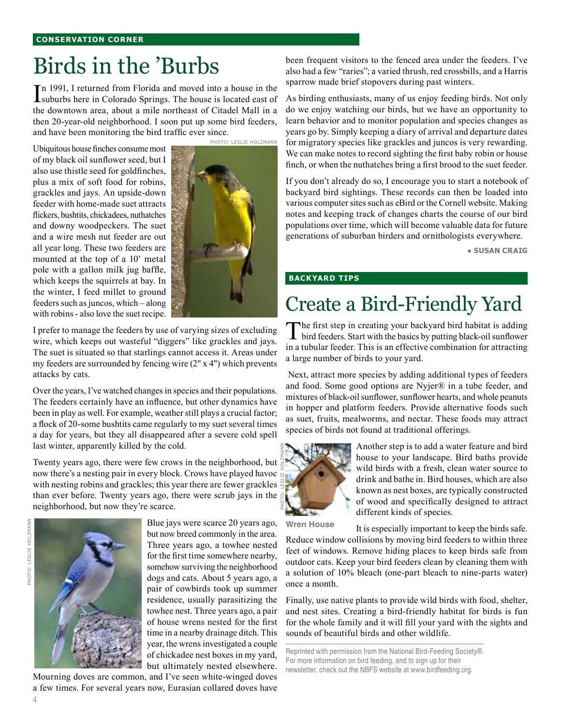# Birds in the 'Burbs

In 1991, I returned from Florida and moved into a house in the suburbs here in Colorado Springs. The house is located east of suburbs here in Colorado Springs. The house is located east of the downtown area, about a mile northeast of Citadel Mall in a then 20-year-old neighborhood. I soon put up some bird feeders, and have been monitoring the bird traffic ever since.

Ubiquitous house finches consume most of my black oil sunflower seed, but I also use thistle seed for goldfinches, plus a mix of soft food for robins, grackles and jays. An upside-down feeder with home-made suet attracts flickers, bushtits, chickadees, nuthatches and downy woodpeckers. The suet and a wire mesh nut feeder are out all year long. These two feeders are mounted at the top of a 10' metal pole with a gallon milk jug baffle, which keeps the squirrels at bay. In the winter, I feed millet to ground feeders such as juncos, which – along with robins - also love the suet recipe.



I prefer to manage the feeders by use of varying sizes of excluding wire, which keeps out wasteful "diggers" like grackles and jays. The suet is situated so that starlings cannot access it. Areas under my feeders are surrounded by fencing wire (2" x 4") which prevents attacks by cats.

Over the years, I've watched changes in species and their populations. The feeders certainly have an influence, but other dynamics have been in play as well. For example, weather still plays a crucial factor; a flock of 20-some bushtits came regularly to my suet several times a day for years, but they all disappeared after a severe cold spell last winter, apparently killed by the cold.

Twenty years ago, there were few crows in the neighborhood, but now there's a nesting pair in every block. Crows have played havoc with nesting robins and grackles; this year there are fewer grackles than ever before. Twenty years ago, there were scrub jays in the neighborhood, but now they're scarce.



Blue jays were scarce 20 years ago, but now breed commonly in the area. Three years ago, a towhee nested for the first time somewhere nearby, somehow surviving the neighborhood dogs and cats. About 5 years ago, a pair of cowbirds took up summer residence, usually parasitizing the towhee nest. Three years ago, a pair of house wrens nested for the first time in a nearby drainage ditch. This year, the wrens investigated a couple of chickadee nest boxes in my yard, but ultimately nested elsewhere.

Mourning doves are common, and I've seen white-winged doves a few times. For several years now, Eurasian collared doves have been frequent visitors to the fenced area under the feeders. I've also had a few "raries"; a varied thrush, red crossbills, and a Harris sparrow made brief stopovers during past winters.

As birding enthusiasts, many of us enjoy feeding birds. Not only do we enjoy watching our birds, but we have an opportunity to learn behavior and to monitor population and species changes as years go by. Simply keeping a diary of arrival and departure dates for migratory species like grackles and juncos is very rewarding. We can make notes to record sighting the first baby robin or house finch, or when the nuthatches bring a first brood to the suet feeder.

If you don't already do so, I encourage you to start a notebook of backyard bird sightings. These records can then be loaded into various computer sites such as eBird or the Cornell website. Making notes and keeping track of changes charts the course of our bird populations over time, which will become valuable data for future generations of suburban birders and ornithologists everywhere.

**● Susan Craig**

### **back yard tips**

# Create a Bird-Friendly Yard

The first step in creating your backyard bird habitat is adding bird feeders. Start with the basics by putting black-oil sunflower in a tubular feeder. This is an effective combination for attracting a large number of birds to your yard.

 Next, attract more species by adding additional types of feeders and food. Some good options are Nyjer® in a tube feeder, and mixtures of black-oil sunflower, sunflower hearts, and whole peanuts in hopper and platform feeders. Provide alternative foods such as suet, fruits, mealworms, and nectar. These foods may attract species of birds not found at traditional offerings.



Another step is to add a water feature and bird house to your landscape. Bird baths provide wild birds with a fresh, clean water source to drink and bathe in. Bird houses, which are also known as nest boxes, are typically constructed of wood and specifically designed to attract different kinds of species.

**Wren House**

It is especially important to keep the birds safe. Reduce window collisions by moving bird feeders to within three feet of windows. Remove hiding places to keep birds safe from outdoor cats. Keep your bird feeders clean by cleaning them with a solution of 10% bleach (one-part bleach to nine-parts water) once a month.

Finally, use native plants to provide wild birds with food, shelter, and nest sites. Creating a bird-friendly habitat for birds is fun for the whole family and it will fill your yard with the sights and sounds of beautiful birds and other wildlife.

Reprinted with permission from the National Bird-Feeding Society®. For more information on bird feeding, and to sign up for their newsletter, check out the NBFS website at www.birdfeeding.org.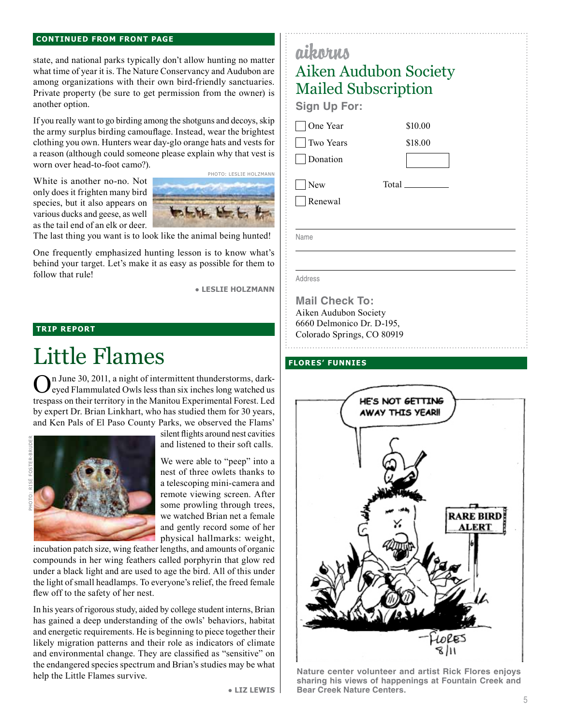#### **continued from front page**

state, and national parks typically don't allow hunting no matter what time of year it is. The Nature Conservancy and Audubon are among organizations with their own bird-friendly sanctuaries. Private property (be sure to get permission from the owner) is another option.

If you really want to go birding among the shotguns and decoys, skip the army surplus birding camouflage. Instead, wear the brightest clothing you own. Hunters wear day-glo orange hats and vests for a reason (although could someone please explain why that vest is worn over head-to-foot camo?).

White is another no-no. Not only does it frighten many bird species, but it also appears on various ducks and geese, as well as the tail end of an elk or deer.



The last thing you want is to look like the animal being hunted!

One frequently emphasized hunting lesson is to know what's behind your target. Let's make it as easy as possible for them to follow that rule!

● **Leslie Holzmann**

## **TRIP REPORT**

# Little Flames

In June 30, 2011, a night of intermittent thunderstorms, darkeyed Flammulated Owls less than six inches long watched us trespass on their territory in the Manitou Experimental Forest. Led by expert Dr. Brian Linkhart, who has studied them for 30 years, and Ken Pals of El Paso County Parks, we observed the Flams'



silent flights around nest cavities and listened to their soft calls.

We were able to "peep" into a nest of three owlets thanks to a telescoping mini-camera and remote viewing screen. After some prowling through trees, we watched Brian net a female and gently record some of her physical hallmarks: weight,

incubation patch size, wing feather lengths, and amounts of organic compounds in her wing feathers called porphyrin that glow red under a black light and are used to age the bird. All of this under the light of small headlamps. To everyone's relief, the freed female flew off to the safety of her nest.

In his years of rigorous study, aided by college student interns, Brian has gained a deep understanding of the owls' behaviors, habitat and energetic requirements. He is beginning to piece together their likely migration patterns and their role as indicators of climate and environmental change. They are classified as "sensitive" on the endangered species spectrum and Brian's studies may be what help the Little Flames survive.

## Aiken Audubon Society Mailed Subscription

**Sign Up For:**

aikorus

One Year

Two Years

Donation

 New Renewal Total

\$10.00 \$18.00

Name

Address

**Mail Check To:** Aiken Audubon Society 6660 Delmonico Dr. D-195, Colorado Springs, CO 80919

### **Flores' Funnies**



**Nature center volunteer and artist Rick Flores enjoys sharing his views of happenings at Fountain Creek and Bear Creek Nature Centers.** 

● **Liz Lewis**